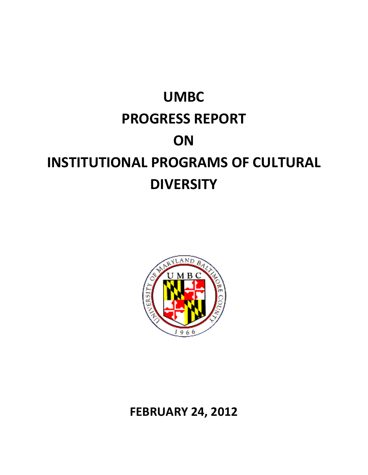# **UMBC PROGRESS REPORT ON INSTITUTIONAL PROGRAMS OF CULTURAL DIVERSITY**



**FEBRUARY 24, 2012**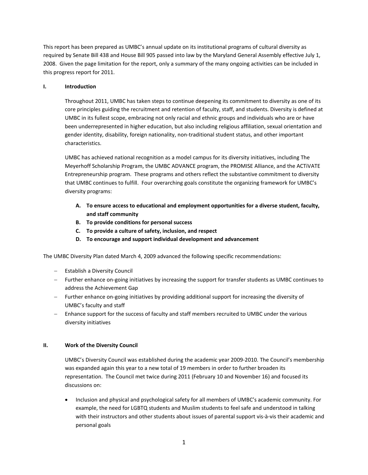This report has been prepared as UMBC's annual update on its institutional programs of cultural diversity as required by Senate Bill 438 and House Bill 905 passed into law by the Maryland General Assembly effective July 1, 2008. Given the page limitation for the report, only a summary of the many ongoing activities can be included in this progress report for 2011.

# **I. Introduction**

Throughout 2011, UMBC has taken steps to continue deepening its commitment to diversity as one of its core principles guiding the recruitment and retention of faculty, staff, and students. Diversity is defined at UMBC in its fullest scope, embracing not only racial and ethnic groups and individuals who are or have been underrepresented in higher education, but also including religious affiliation, sexual orientation and gender identity, disability, foreign nationality, non-traditional student status, and other important characteristics.

UMBC has achieved national recognition as a model campus for its diversity initiatives, including The Meyerhoff Scholarship Program, the UMBC ADVANCE program, the PROMISE Alliance, and the ACTiVATE Entrepreneurship program. These programs and others reflect the substantive commitment to diversity that UMBC continues to fulfill. Four overarching goals constitute the organizing framework for UMBC's diversity programs:

- **A. To ensure access to educational and employment opportunities for a diverse student, faculty, and staff community**
- **B. To provide conditions for personal success**
- **C. To provide a culture of safety, inclusion, and respect**
- **D. To encourage and support individual development and advancement**

The UMBC Diversity Plan dated March 4, 2009 advanced the following specific recommendations:

- − Establish a Diversity Council
- − Further enhance on-going initiatives by increasing the support for transfer students as UMBC continues to address the Achievement Gap
- − Further enhance on-going initiatives by providing additional support for increasing the diversity of UMBC's faculty and staff
- − Enhance support for the success of faculty and staff members recruited to UMBC under the various diversity initiatives

# **II. Work of the Diversity Council**

UMBC's Diversity Council was established during the academic year 2009-2010. The Council's membership was expanded again this year to a new total of 19 members in order to further broaden its representation. The Council met twice during 2011 (February 10 and November 16) and focused its discussions on:

• Inclusion and physical and psychological safety for all members of UMBC's academic community. For example, the need for LGBTQ students and Muslim students to feel safe and understood in talking with their instructors and other students about issues of parental support vis-à-vis their academic and personal goals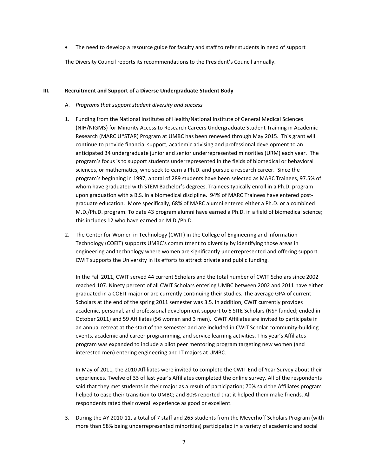• The need to develop a resource guide for faculty and staff to refer students in need of support

The Diversity Council reports its recommendations to the President's Council annually.

#### **III. Recruitment and Support of a Diverse Undergraduate Student Body**

- A. *Programs that support student diversity and success*
- 1. Funding from the National Institutes of Health/National Institute of General Medical Sciences (NIH/NIGMS) for Minority Access to Research Careers Undergraduate Student Training in Academic Research (MARC U\*STAR) Program at UMBC has been renewed through May 2015. This grant will continue to provide financial support, academic advising and professional development to an anticipated 34 undergraduate junior and senior underrepresented minorities (URM) each year. The program's focus is to support students underrepresented in the fields of biomedical or behavioral sciences, or mathematics, who seek to earn a Ph.D. and pursue a research career. Since the program's beginning in 1997, a total of 289 students have been selected as MARC Trainees, 97.5% of whom have graduated with STEM Bachelor's degrees. Trainees typically enroll in a Ph.D. program upon graduation with a B.S. in a biomedical discipline. 94% of MARC Trainees have entered postgraduate education. More specifically, 68% of MARC alumni entered either a Ph.D. or a combined M.D./Ph.D. program. To date 43 program alumni have earned a Ph.D. in a field of biomedical science; this includes 12 who have earned an M.D./Ph.D.
- 2. The Center for Women in Technology (CWIT) in the College of Engineering and Information Technology (COEIT) supports UMBC's commitment to diversity by identifying those areas in engineering and technology where women are significantly underrepresented and offering support. CWIT supports the University in its efforts to attract private and public funding.

In the Fall 2011, CWIT served 44 current Scholars and the total number of CWIT Scholars since 2002 reached 107. Ninety percent of all CWIT Scholars entering UMBC between 2002 and 2011 have either graduated in a COEIT major or are currently continuing their studies. The average GPA of current Scholars at the end of the spring 2011 semester was 3.5. In addition, CWIT currently provides academic, personal, and professional development support to 6 SITE Scholars (NSF funded; ended in October 2011) and 59 Affiliates (56 women and 3 men). CWIT Affiliates are invited to participate in an annual retreat at the start of the semester and are included in CWIT Scholar community-building events, academic and career programming, and service learning activities. This year's Affiliates program was expanded to include a pilot peer mentoring program targeting new women (and interested men) entering engineering and IT majors at UMBC.

In May of 2011, the 2010 Affiliates were invited to complete the CWIT End of Year Survey about their experiences. Twelve of 33 of last year's Affiliates completed the online survey. All of the respondents said that they met students in their major as a result of participation; 70% said the Affiliates program helped to ease their transition to UMBC; and 80% reported that it helped them make friends. All respondents rated their overall experience as good or excellent.

3. During the AY 2010-11, a total of 7 staff and 265 students from the Meyerhoff Scholars Program (with more than 58% being underrepresented minorities) participated in a variety of academic and social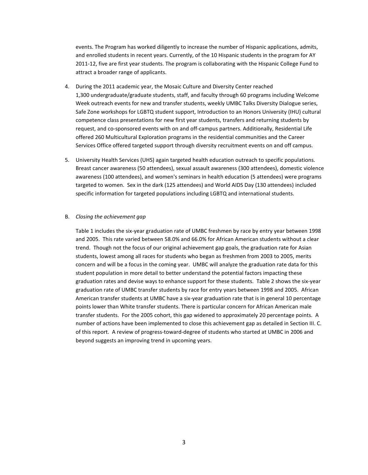events. The Program has worked diligently to increase the number of Hispanic applications, admits, and enrolled students in recent years. Currently, of the 10 Hispanic students in the program for AY 2011-12, five are first year students. The program is collaborating with the Hispanic College Fund to attract a broader range of applicants.

- 4. During the 2011 academic year, the Mosaic Culture and Diversity Center reached 1,300 undergraduate/graduate students, staff, and faculty through 60 programs including Welcome Week outreach events for new and transfer students, weekly UMBC Talks Diversity Dialogue series, Safe Zone workshops for LGBTQ student support, Introduction to an Honors University (IHU) cultural competence class presentations for new first year students, transfers and returning students by request, and co-sponsored events with on and off-campus partners. Additionally, Residential Life offered 260 Multicultural Exploration programs in the residential communities and the Career Services Office offered targeted support through diversity recruitment events on and off campus.
- 5. University Health Services (UHS) again targeted health education outreach to specific populations. Breast cancer awareness (50 attendees), sexual assault awareness (300 attendees), domestic violence awareness (100 attendees), and women's seminars in health education (5 attendees) were programs targeted to women. Sex in the dark (125 attendees) and World AIDS Day (130 attendees) included specific information for targeted populations including LGBTQ and international students.

#### B. *Closing the achievement gap*

Table 1 includes the six-year graduation rate of UMBC freshmen by race by entry year between 1998 and 2005. This rate varied between 58.0% and 66.0% for African American students without a clear trend. Though not the focus of our original achievement gap goals, the graduation rate for Asian students, lowest among all races for students who began as freshmen from 2003 to 2005, merits concern and will be a focus in the coming year. UMBC will analyze the graduation rate data for this student population in more detail to better understand the potential factors impacting these graduation rates and devise ways to enhance support for these students. Table 2 shows the six-year graduation rate of UMBC transfer students by race for entry years between 1998 and 2005. African American transfer students at UMBC have a six-year graduation rate that is in general 10 percentage points lower than White transfer students. There is particular concern for African American male transfer students. For the 2005 cohort, this gap widened to approximately 20 percentage points. A number of actions have been implemented to close this achievement gap as detailed in Section III. C. of this report. A review of progress-toward-degree of students who started at UMBC in 2006 and beyond suggests an improving trend in upcoming years.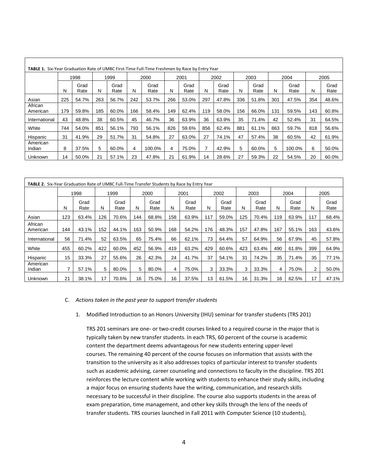|                     | <b>TABLE 1.</b> Six-Year Graduation Rate of UMBC First-Time Full-Time Freshmen by Race by Entry Year |              |     |              |     |              |     |              |     |              |     |              |     |              |     |              |
|---------------------|------------------------------------------------------------------------------------------------------|--------------|-----|--------------|-----|--------------|-----|--------------|-----|--------------|-----|--------------|-----|--------------|-----|--------------|
|                     |                                                                                                      | 1998         |     | 1999         |     | 2000         |     | 2001         |     | 2002         |     | 2003         |     | 2004         |     | 2005         |
|                     | Ν                                                                                                    | Grad<br>Rate | N   | Grad<br>Rate | N   | Grad<br>Rate | N   | Grad<br>Rate | N   | Grad<br>Rate | N   | Grad<br>Rate | N   | Grad<br>Rate | N   | Grad<br>Rate |
| Asian               | 225                                                                                                  | 54.7%        | 263 | 56.7%        | 242 | 53.7%        | 266 | 53.0%        | 297 | 47.8%        | 336 | 51.8%        | 301 | 47.5%        | 354 | 48.6%        |
| African<br>American | 179                                                                                                  | 59.8%        | 185 | 60.0%        | 166 | 58.4%        | 149 | 62.4%        | 119 | 58.0%        | 156 | 66.0%        | 131 | 59.5%        | 143 | 60.8%        |
| International       | 43                                                                                                   | 48.8%        | 38  | 60.5%        | 45  | 46.7%        | 36  | 63.9%        | 36  | 63.9%        | 35  | 71.4%        | 42  | 52.4%        | 31  | 64.5%        |
| White               | 744                                                                                                  | 54.0%        | 851 | 56.1%        | 793 | 56.1%        | 826 | 59.6%        | 856 | 62.4%        | 881 | 61.1%        | 863 | 59.7%        | 818 | 56.6%        |
| Hispanic            | 31                                                                                                   | 41.9%        | 29  | 51.7%        | 31  | 54.8%        | 27  | 63.0%        | 27  | 74.1%        | 47  | 57.4%        | 38  | 60.5%        | 42  | 61.9%        |
| American<br>Indian  | 8                                                                                                    | 37.5%        | 5   | 60.0%        | 4   | 100.0%       | 4   | 75.0%        | 7   | 42.9%        | 5   | 60.0%        | 5   | 100.0%       | 6   | 50.0%        |
| Unknown             | 14                                                                                                   | 50.0%        | 21  | 57.1%        | 23  | 47.8%        | 21  | 61.9%        | 14  | 28.6%        | 27  | 59.3%        | 22  | 54.5%        | 20  | 60.0%        |

| <b>TABLE 2.</b> Six-Year Graduation Rate of UMBC Full-Time Transfer Students by Race by Entry Year |     |              |     |              |     |              |     |              |     |              |     |              |     |              |     |              |
|----------------------------------------------------------------------------------------------------|-----|--------------|-----|--------------|-----|--------------|-----|--------------|-----|--------------|-----|--------------|-----|--------------|-----|--------------|
|                                                                                                    |     | 1998         |     | 1999         |     | 2000         |     | 2001         |     | 2002         |     | 2003         |     | 2004         |     | 2005         |
|                                                                                                    | N   | Grad<br>Rate | N   | Grad<br>Rate | N   | Grad<br>Rate | N   | Grad<br>Rate | N   | Grad<br>Rate | N   | Grad<br>Rate | N   | Grad<br>Rate | N   | Grad<br>Rate |
| Asian                                                                                              | 123 | 63.4%        | 126 | 70.6%        | 144 | 68.8%        | 158 | 63.9%        | 117 | 59.0%        | 125 | 70.4%        | 119 | 63.9%        | 117 | 68.4%        |
| African<br>American                                                                                | 144 | 43.1%        | 152 | 44.1%        | 163 | 50.9%        | 168 | 54.2%        | 176 | 48.3%        | 157 | 47.8%        | 167 | 55.1%        | 163 | 43.6%        |
| International                                                                                      | 56  | 71.4%        | 52  | 63.5%        | 65  | 75.4%        | 66  | 62.1%        | 73  | 64.4%        | 57  | 64.9%        | 56  | 67.9%        | 45  | 57.8%        |
| White                                                                                              | 455 | 60.2%        | 422 | 60.0%        | 452 | 56.9%        | 419 | 63.2%        | 429 | 60.6%        | 423 | 63.4%        | 490 | 61.8%        | 399 | 64.9%        |
| Hispanic                                                                                           | 15  | 33.3%        | 27  | 55.6%        | 26  | 42.3%        | 24  | 41.7%        | 37  | 54.1%        | 31  | 74.2%        | 35  | 71.4%        | 35  | 77.1%        |
| American<br>Indian                                                                                 | 7   | 57.1%        | 5   | 80.0%        | 5   | 80.0%        | 4   | 75.0%        | 3   | 33.3%        | 3   | 33.3%        | 4   | 75.0%        | 2   | 50.0%        |
| Unknown                                                                                            | 21  | 38.1%        | 17  | 70.6%        | 16  | 75.0%        | 16  | 37.5%        | 13  | 61.5%        | 16  | 31.3%        | 16  | 62.5%        | 17  | 47.1%        |

#### C. *Actions taken in the past year to support transfer students*

#### 1. Modified Introduction to an Honors University (IHU) seminar for transfer students (TRS 201)

TRS 201 seminars are one- or two-credit courses linked to a required course in the major that is typically taken by new transfer students. In each TRS, 60 percent of the course is academic content the department deems advantageous for new students entering upper-level courses. The remaining 40 percent of the course focuses on information that assists with the transition to the university as it also addresses topics of particular interest to transfer students such as academic advising, career counseling and connections to faculty in the discipline. TRS 201 reinforces the lecture content while working with students to enhance their study skills, including a major focus on ensuring students have the writing, communication, and research skills necessary to be successful in their discipline. The course also supports students in the areas of exam preparation, time management, and other key skills through the lens of the needs of transfer students. TRS courses launched in Fall 2011 with Computer Science (10 students),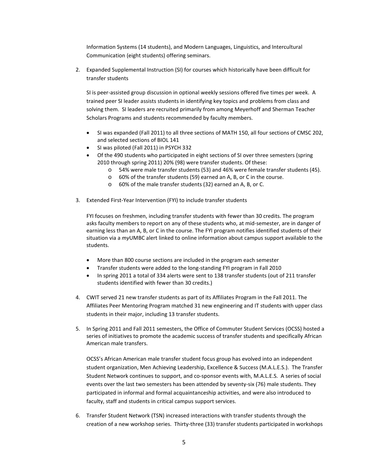Information Systems (14 students), and Modern Languages, Linguistics, and Intercultural Communication (eight students) offering seminars.

2. Expanded Supplemental Instruction (SI) for courses which historically have been difficult for transfer students

SI is peer-assisted group discussion in optional weekly sessions offered five times per week. A trained peer SI leader assists students in identifying key topics and problems from class and solving them. SI leaders are recruited primarily from among Meyerhoff and Sherman Teacher Scholars Programs and students recommended by faculty members.

- SI was expanded (Fall 2011) to all three sections of MATH 150, all four sections of CMSC 202, and selected sections of BIOL 141
- SI was piloted (Fall 2011) in PSYCH 332
- Of the 490 students who participated in eight sections of SI over three semesters (spring 2010 through spring 2011) 20% (98) were transfer students. Of these:
	- o 54% were male transfer students (53) and 46% were female transfer students (45).
	- o 60% of the transfer students (59) earned an A, B, or C in the course.
	- o 60% of the male transfer students (32) earned an A, B, or C.
- 3. Extended First-Year Intervention (FYI) to include transfer students

FYI focuses on freshmen, including transfer students with fewer than 30 credits. The program asks faculty members to report on any of these students who, at mid-semester, are in danger of earning less than an A, B, or C in the course. The FYI program notifies identified students of their situation via a *my*UMBC alert linked to online information about campus support available to the students.

- More than 800 course sections are included in the program each semester
- Transfer students were added to the long-standing FYI program in Fall 2010
- In spring 2011 a total of 334 alerts were sent to 138 transfer students (out of 211 transfer students identified with fewer than 30 credits.)
- 4. CWIT served 21 new transfer students as part of its Affiliates Program in the Fall 2011. The Affiliates Peer Mentoring Program matched 31 new engineering and IT students with upper class students in their major, including 13 transfer students.
- 5. In Spring 2011 and Fall 2011 semesters, the Office of Commuter Student Services (OCSS) hosted a series of initiatives to promote the academic success of transfer students and specifically African American male transfers.

OCSS's African American male transfer student focus group has evolved into an independent student organization, Men Achieving Leadership, Excellence & Success (M.A.L.E.S.). The Transfer Student Network continues to support, and co-sponsor events with, M.A.L.E.S. A series of social events over the last two semesters has been attended by seventy-six (76) male students. They participated in informal and formal acquaintanceship activities, and were also introduced to faculty, staff and students in critical campus support services.

6. Transfer Student Network (TSN) increased interactions with transfer students through the creation of a new workshop series. Thirty-three (33) transfer students participated in workshops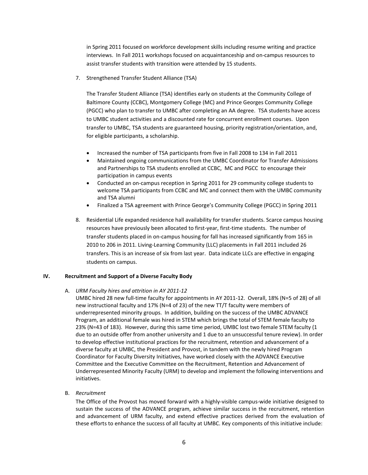in Spring 2011 focused on workforce development skills including resume writing and practice interviews. In Fall 2011 workshops focused on acquaintanceship and on-campus resources to assist transfer students with transition were attended by 15 students.

7. Strengthened Transfer Student Alliance (TSA)

The Transfer Student Alliance (TSA) identifies early on students at the Community College of Baltimore County (CCBC), Montgomery College (MC) and Prince Georges Community College (PGCC) who plan to transfer to UMBC after completing an AA degree. TSA students have access to UMBC student activities and a discounted rate for concurrent enrollment courses. Upon transfer to UMBC, TSA students are guaranteed housing, priority registration/orientation, and, for eligible participants, a scholarship.

- Increased the number of TSA participants from five in Fall 2008 to 134 in Fall 2011
- Maintained ongoing communications from the UMBC Coordinator for Transfer Admissions and Partnerships to TSA students enrolled at CCBC, MC and PGCC to encourage their participation in campus events
- Conducted an on-campus reception in Spring 2011 for 29 community college students to welcome TSA participants from CCBC and MC and connect them with the UMBC community and TSA alumni
- Finalized a TSA agreement with Prince George's Community College (PGCC) in Spring 2011
- 8. Residential Life expanded residence hall availability for transfer students. Scarce campus housing resources have previously been allocated to first-year, first-time students. The number of transfer students placed in on-campus housing for fall has increased significantly from 165 in 2010 to 206 in 2011. Living-Learning Community (LLC) placements in Fall 2011 included 26 transfers. This is an increase of six from last year. Data indicate LLCs are effective in engaging students on campus.

# **IV. Recruitment and Support of a Diverse Faculty Body**

#### A. *URM Faculty hires and attrition in AY 2011-12*

- UMBC hired 28 new full-time faculty for appointments in AY 2011-12. Overall, 18% (N=5 of 28) of all new instructional faculty and 17% (N=4 of 23) of the new TT/T faculty were members of underrepresented minority groups. In addition, building on the success of the UMBC ADVANCE Program, an additional female was hired in STEM which brings the total of STEM female faculty to 23% (N=43 of 183). However, during this same time period, UMBC lost two female STEM faculty (1 due to an outside offer from another university and 1 due to an unsuccessful tenure review). In order to develop effective institutional practices for the recruitment, retention and advancement of a diverse faculty at UMBC, the President and Provost, in tandem with the newly hired Program Coordinator for Faculty Diversity Initiatives, have worked closely with the ADVANCE Executive Committee and the Executive Committee on the Recruitment, Retention and Advancement of Underrepresented Minority Faculty (URM) to develop and implement the following interventions and initiatives.
- B. *Recruitment*

The Office of the Provost has moved forward with a highly-visible campus-wide initiative designed to sustain the success of the ADVANCE program, achieve similar success in the recruitment, retention and advancement of URM faculty, and extend effective practices derived from the evaluation of these efforts to enhance the success of all faculty at UMBC. Key components of this initiative include: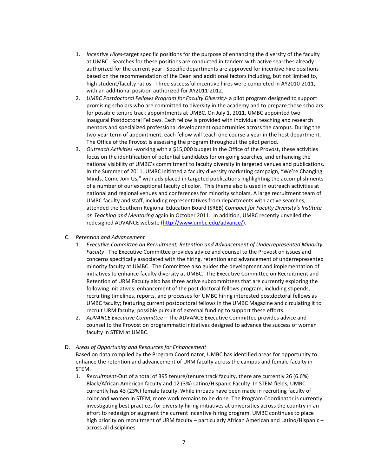- 1. *Incentive Hires-*target specific positions for the purpose of enhancing the diversity of the faculty at UMBC. Searches for these positions are conducted in tandem with active searches already authorized for the current year. Specific departments are approved for incentive hire positions based on the recommendation of the Dean and additional factors including, but not limited to, high student/faculty ratios. Three successful incentive hires were completed in AY2010-2011, with an additional position authorized for AY2011-2012.
- 2. *UMBC Postdoctoral Fellows Program for Faculty Diversity* a pilot program designed to support promising scholars who are committed to diversity in the academy and to prepare those scholars for possible tenure track appointments at UMBC. On July 1, 2011, UMBC appointed two inaugural Postdoctoral Fellows. Each fellow is provided with individual teaching and research mentors and specialized professional development opportunities across the campus. During the two-year term of appointment, each fellow will teach one course a year in the host department. The Office of the Provost is assessing the program throughout the pilot period.
- 3. *Outreach Activities -*working with a \$15,000 budget in the Office of the Provost, these activities focus on the identification of potential candidates for on-going searches, and enhancing the national visibility of UMBC's commitment to faculty diversity in targeted venues and publications. In the Summer of 2011, UMBC initiated a faculty diversity marketing campaign, "We're Changing Minds, Come Join Us," with ads placed in targeted publications highlighting the accomplishments of a number of our exceptional faculty of color. This theme also is used in outreach activities at national and regional venues and conferences for minority scholars. A large recruitment team of UMBC faculty and staff, including representatives from departments with active searches, attended the Southern Regional Education Board (SREB) *Compact for Faculty Diversity's Institute on Teaching and Mentoring* again in October 2011. In addition, UMBC recently unveiled the redesigned ADVANCE website [\(http://www.umbc.edu/advance/\)](http://www.umbc.edu/advance/).

## C. *Retention and Advancement*

- 1. *Executive Committee on Recruitment, Retention and Advancement of Underrepresented Minority Faculty* –The Executive Committee provides advice and counsel to the Provost on issues and concerns specifically associated with the hiring, retention and advancement of underrepresented minority faculty at UMBC. The Committee also guides the development and implementation of initiatives to enhance faculty diversity at UMBC. The Executive Committee on Recruitment and Retention of URM Faculty also has three active subcommittees that are currently exploring the following initiatives: enhancement of the post doctoral fellows program, including stipends, recruiting timelines, reports, and processes for UMBC hiring interested postdoctoral fellows as UMBC faculty; featuring current postdoctoral fellows in the UMBC Magazine and circulating it to recruit URM faculty; possible pursuit of external funding to support these efforts.
- 2. *ADVANCE Executive Committee* The ADVANCE Executive Committee provides advice and counsel to the Provost on programmatic initiatives designed to advance the success of women faculty in STEM at UMBC.

#### D. *Areas of Opportunity and Resources for Enhancement*

Based on data compiled by the Program Coordinator, UMBC has identified areas for opportunity to enhance the retention and advancement of URM faculty across the campus and female faculty in STEM.

1. *Recruitment-*Out of a total of 395 tenure/tenure track faculty, there are currently 26 (6.6%) Black/African American faculty and 12 (3%) Latino/Hispanic Faculty. In STEM fields, UMBC currently has 43 (23%) female faculty. While inroads have been made in recruiting faculty of color and women in STEM, more work remains to be done. The Program Coordinator is currently investigating best practices for diversity hiring initiatives at universities across the country in an effort to redesign or augment the current incentive hiring program. UMBC continues to place high priority on recruitment of URM faculty – particularly African American and Latino/Hispanic – across all disciplines.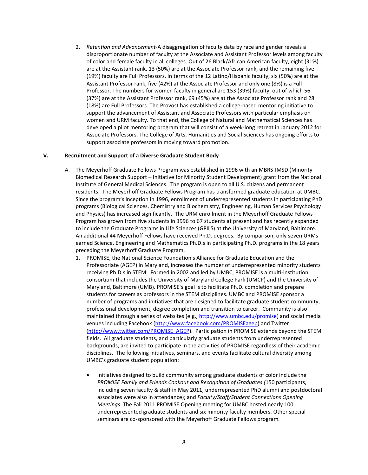2. *Retention and Advancement-*A disaggregation of faculty data by race and gender reveals a disproportionate number of faculty at the Associate and Assistant Professor levels among faculty of color and female faculty in all colleges. Out of 26 Black/African American faculty, eight (31%) are at the Assistant rank, 13 (50%) are at the Associate Professor rank, and the remaining five (19%) faculty are Full Professors. In terms of the 12 Latino/Hispanic faculty, six (50%) are at the Assistant Professor rank, five (42%) at the Associate Professor and only one (8%) is a Full Professor. The numbers for women faculty in general are 153 (39%) faculty, out of which 56 (37%) are at the Assistant Professor rank, 69 (45%) are at the Associate Professor rank and 28 (18%) are Full Professors. The Provost has established a college-based mentoring initiative to support the advancement of Assistant and Associate Professors with particular emphasis on women and URM faculty. To that end, the College of Natural and Mathematical Sciences has developed a pilot mentoring program that will consist of a week-long retreat in January 2012 for Associate Professors. The College of Arts, Humanities and Social Sciences has ongoing efforts to support associate professors in moving toward promotion.

### **V. Recruitment and Support of a Diverse Graduate Student Body**

- A. The Meyerhoff Graduate Fellows Program was established in 1996 with an MBRS-IMSD (Minority Biomedical Research Support – Initiative for Minority Student Development) grant from the National Institute of General Medical Sciences. The program is open to all U.S. citizens and permanent residents. The Meyerhoff Graduate Fellows Program has transformed graduate education at UMBC. Since the program's inception in 1996, enrollment of underrepresented students in participating PhD programs (Biological Sciences, Chemistry and Biochemistry, Engineering, Human Services Psychology and Physics) has increased significantly. The URM enrollment in the Meyerhoff Graduate Fellows Program has grown from five students in 1996 to 67 students at present and has recently expanded to include the Graduate Programs in Life Sciences (GPILS) at the University of Maryland, Baltimore. An additional 44 Meyerhoff Fellows have received Ph.D. degrees. By comparison, only seven URMs earned Science, Engineering and Mathematics Ph.D.s in participating Ph.D. programs in the 18 years preceding the Meyerhoff Graduate Program.
	- 1. PROMISE, the National Science Foundation's Alliance for Graduate Education and the Professoriate (AGEP) in Maryland, increases the number of underrepresented minority students receiving Ph.D.s in STEM. Formed in 2002 and led by UMBC, PROMISE is a multi-institution consortium that includes the University of Maryland College Park (UMCP) and the University of Maryland, Baltimore (UMB). PROMISE's goal is to facilitate Ph.D. completion and prepare students for careers as professors in the STEM disciplines. UMBC and PROMISE sponsor a number of programs and initiatives that are designed to facilitate graduate student community, professional development, degree completion and transition to career. Community is also maintained through a series of websites (e.g.[, http://www.umbc.edu/promise\)](http://www.umbc.edu/promise) and social media venues including Facebook [\(http://www.facebook.com/PROMISEagep\)](http://www.facebook.com/PROMISEagep) and Twitter [\(http://www.twitter.com/PROMISE\\_AGEP\)](http://www.twitter.com/PROMISE_AGEP). Participation in PROMISE extends beyond the STEM fields. All graduate students, and particularly graduate students from underrepresented backgrounds, are invited to participate in the activities of PROMISE regardless of their academic disciplines. The following initiatives, seminars, and events facilitate cultural diversity among UMBC's graduate student population:
		- Initiatives designed to build community among graduate students of color include the *PROMISE Family and Friends Cookout and Recognition of Graduates (*150 participants, including seven faculty & staff in May 2011; underrepresented PhD alumni and postdoctoral associates were also in attendance); and *Faculty/Staff/Student Connections Opening Meetings*. The Fall 2011 PROMISE Opening meeting for UMBC hosted nearly 100 underrepresented graduate students and six minority faculty members. Other special seminars are co-sponsored with the Meyerhoff Graduate Fellows program*.*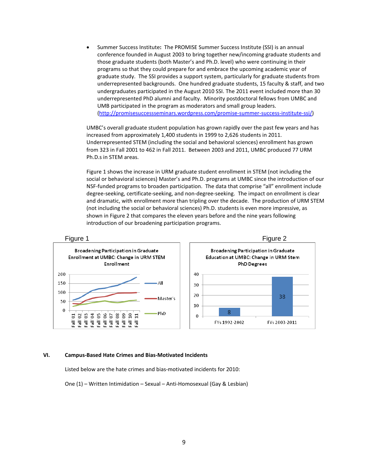• Summer Success Institute**:** The PROMISE Summer Success Institute (SSI) is an annual conference founded in August 2003 to bring together new/incoming graduate students and those graduate students (both Master's and Ph.D. level) who were continuing in their programs so that they could prepare for and embrace the upcoming academic year of graduate study. The SSI provides a support system, particularly for graduate students from underrepresented backgrounds. One hundred graduate students, 15 faculty & staff, and two undergraduates participated in the August 2010 SSI. The 2011 event included more than 30 underrepresented PhD alumni and faculty. Minority postdoctoral fellows from UMBC and UMB participated in the program as moderators and small group leaders. [\(http://promisesuccessseminars.wordpress.com/promise-summer-success-institute-ssi/\)](http://promisesuccessseminars.wordpress.com/promise-summer-success-institute-ssi/)

UMBC's overall graduate student population has grown rapidly over the past few years and has increased from approximately 1,400 students in 1999 to 2,626 students in 2011. Underrepresented STEM (including the social and behavioral sciences) enrollment has grown from 323 in Fall 2001 to 462 in Fall 2011. Between 2003 and 2011, UMBC produced 77 URM Ph.D.s in STEM areas.

Figure 1 shows the increase in URM graduate student enrollment in STEM (not including the social or behavioral sciences) Master's and Ph.D. programs at UMBC since the introduction of our NSF-funded programs to broaden participation. The data that comprise "all" enrollment include degree-seeking, certificate-seeking, and non-degree-seeking. The impact on enrollment is clear and dramatic, with enrollment more than tripling over the decade. The production of URM STEM (not including the social or behavioral sciences) Ph.D. students is even more impressive, as shown in Figure 2 that compares the eleven years before and the nine years following introduction of our broadening participation programs.



#### **VI. Campus-Based Hate Crimes and Bias-Motivated Incidents**

Listed below are the hate crimes and bias-motivated incidents for 2010:

One (1) – Written Intimidation – Sexual – Anti-Homosexual (Gay & Lesbian)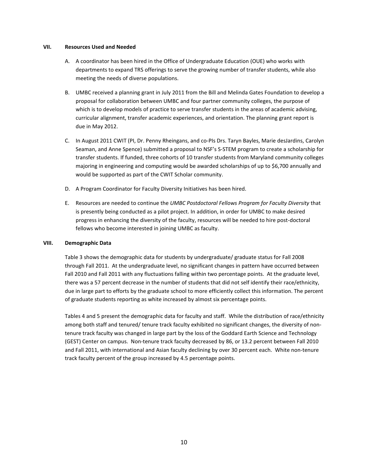#### **VII. Resources Used and Needed**

- A. A coordinator has been hired in the Office of Undergraduate Education (OUE) who works with departments to expand TRS offerings to serve the growing number of transfer students, while also meeting the needs of diverse populations.
- B. UMBC received a planning grant in July 2011 from the Bill and Melinda Gates Foundation to develop a proposal for collaboration between UMBC and four partner community colleges, the purpose of which is to develop models of practice to serve transfer students in the areas of academic advising, curricular alignment, transfer academic experiences, and orientation. The planning grant report is due in May 2012.
- C. In August 2011 CWIT (PI, Dr. Penny Rheingans, and co-PIs Drs. Taryn Bayles, Marie desJardins, Carolyn Seaman, and Anne Spence) submitted a proposal to NSF's S-STEM program to create a scholarship for transfer students. If funded, three cohorts of 10 transfer students from Maryland community colleges majoring in engineering and computing would be awarded scholarships of up to \$6,700 annually and would be supported as part of the CWIT Scholar community.
- D. A Program Coordinator for Faculty Diversity Initiatives has been hired.
- E. Resources are needed to continue the *UMBC Postdoctoral Fellows Program for Faculty Diversity* that is presently being conducted as a pilot project. In addition, in order for UMBC to make desired progress in enhancing the diversity of the faculty, resources will be needed to hire post-doctoral fellows who become interested in joining UMBC as faculty.

#### **VIII. Demographic Data**

Table 3 shows the demographic data for students by undergraduate/ graduate status for Fall 2008 through Fall 2011. At the undergraduate level, no significant changes in pattern have occurred between Fall 2010 and Fall 2011 with any fluctuations falling within two percentage points. At the graduate level, there was a 57 percent decrease in the number of students that did not self identify their race/ethnicity, due in large part to efforts by the graduate school to more efficiently collect this information. The percent of graduate students reporting as white increased by almost six percentage points.

Tables 4 and 5 present the demographic data for faculty and staff. While the distribution of race/ethnicity among both staff and tenured/ tenure track faculty exhibited no significant changes, the diversity of nontenure track faculty was changed in large part by the loss of the Goddard Earth Science and Technology (GEST) Center on campus. Non-tenure track faculty decreased by 86, or 13.2 percent between Fall 2010 and Fall 2011, with international and Asian faculty declining by over 30 percent each. White non-tenure track faculty percent of the group increased by 4.5 percentage points.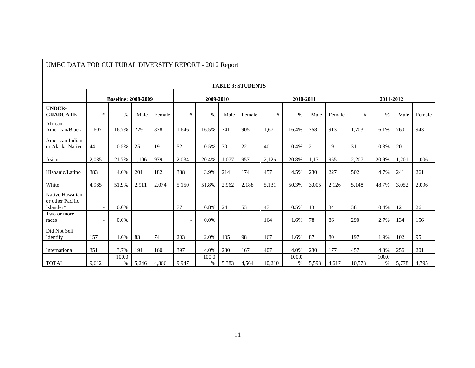| омьс випит он совтоне вторы политика они         |       |                            |       |        |                |               | $2012$ Report |        |        |               |       |        |        |            |       |        |
|--------------------------------------------------|-------|----------------------------|-------|--------|----------------|---------------|---------------|--------|--------|---------------|-------|--------|--------|------------|-------|--------|
|                                                  |       |                            |       |        |                |               |               |        |        |               |       |        |        |            |       |        |
| <b>TABLE 3: STUDENTS</b>                         |       |                            |       |        |                |               |               |        |        |               |       |        |        |            |       |        |
|                                                  |       | <b>Baseline: 2008-2009</b> |       |        |                | 2009-2010     |               |        |        | 2010-2011     |       |        |        | 2011-2012  |       |        |
| <b>UNDER-</b><br><b>GRADUATE</b>                 | #     | $\%$                       | Male  | Female | #              | %             | Male          | Female | #      | $\%$          | Male  | Female | #      | $\%$       | Male  | Female |
| African<br>American/Black                        | 1.607 | 16.7%                      | 729   | 878    | 1,646          | 16.5%         | 741           | 905    | 1,671  | 16.4%         | 758   | 913    | 1,703  | 16.1%      | 760   | 943    |
| American Indian<br>or Alaska Native              | 44    | 0.5%                       | 25    | 19     | 52             | 0.5%          | 30            | 22     | 40     | 0.4%          | 21    | 19     | 31     | 0.3%       | 20    | 11     |
| Asian                                            | 2,085 | 21.7%                      | 1,106 | 979    | 2,034          | 20.4%         | 1,077         | 957    | 2,126  | 20.8%         | 1,171 | 955    | 2,207  | 20.9%      | 1,201 | 1,006  |
| Hispanic/Latino                                  | 383   | 4.0%                       | 201   | 182    | 388            | 3.9%          | 214           | 174    | 457    | 4.5%          | 230   | 227    | 502    | 4.7%       | 241   | 261    |
| White                                            | 4,985 | 51.9%                      | 2,911 | 2,074  | 5,150          | 51.8%         | 2,962         | 2,188  | 5,131  | 50.3%         | 3,005 | 2,126  | 5,148  | 48.7%      | 3,052 | 2,096  |
| Native Hawaiian<br>or other Pacific<br>Islander* |       | $0.0\%$                    |       |        | 77             | 0.8%          | 24            | 53     | 47     | 0.5%          | 13    | 34     | 38     | 0.4%       | 12    | 26     |
| Two or more<br>races                             |       | $0.0\%$                    |       |        | $\blacksquare$ | $0.0\%$       |               |        | 164    | 1.6%          | 78    | 86     | 290    | 2.7%       | 134   | 156    |
| Did Not Self<br>Identify                         | 157   | 1.6%                       | 83    | 74     | 203            | 2.0%          | 105           | 98     | 167    | 1.6%          | 87    | 80     | 197    | 1.9%       | 102   | 95     |
| International                                    | 351   | 3.7%                       | 191   | 160    | 397            | 4.0%          | 230           | 167    | 407    | 4.0%          | 230   | 177    | 457    | 4.3%       | 256   | 201    |
| <b>TOTAL</b>                                     | 9,612 | 100.0<br>$\%$              | 5,246 | 4,366  | 9,947          | 100.0<br>$\%$ | 5,383         | 4,564  | 10,210 | 100.0<br>$\%$ | 5,593 | 4,617  | 10,573 | 100.0<br>% | 5,778 | 4,795  |

# UMBC DATA FOR CULTURAL DIVERSITY REPORT - 2012 Report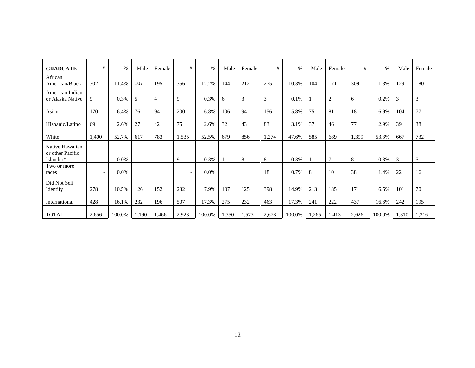| <b>GRADUATE</b>                                  | #                        | $\%$    | Male  | Female | #                        | %       | Male  | Female | #     | $\%$   | Male  | Female         | #     | $\%$   | Male  | Female |
|--------------------------------------------------|--------------------------|---------|-------|--------|--------------------------|---------|-------|--------|-------|--------|-------|----------------|-------|--------|-------|--------|
| African<br>American/Black                        | 302                      | 11.4%   | 107   | 195    | 356                      | 12.2%   | 144   | 212    | 275   | 10.3%  | 104   | 171            | 309   | 11.8%  | 129   | 180    |
| American Indian<br>or Alaska Native              | 9                        | 0.3%    | 5     | 4      | 9                        | 0.3%    | 6     | 3      | 3     | 0.1%   |       | 2              | 6     | 0.2%   | 3     | 3      |
| Asian                                            | 170                      | 6.4%    | 76    | 94     | 200                      | 6.8%    | 106   | 94     | 156   | 5.8%   | 75    | 81             | 181   | 6.9%   | 104   | 77     |
| Hispanic/Latino                                  | 69                       | 2.6%    | 27    | 42     | 75                       | 2.6%    | 32    | 43     | 83    | 3.1%   | 37    | 46             | 77    | 2.9%   | 39    | 38     |
| White                                            | 1,400                    | 52.7%   | 617   | 783    | 1,535                    | 52.5%   | 679   | 856    | 1,274 | 47.6%  | 585   | 689            | 1,399 | 53.3%  | 667   | 732    |
| Native Hawaiian<br>or other Pacific<br>Islander* | $\overline{\phantom{a}}$ | $0.0\%$ |       |        | 9                        | 0.3%    |       | 8      | 8     | 0.3%   |       | $\overline{7}$ | 8     | 0.3%   | 3     | 5      |
| Two or more<br>races                             | $\overline{\phantom{a}}$ | $0.0\%$ |       |        | $\overline{\phantom{a}}$ | $0.0\%$ |       |        | 18    | 0.7%   | 8     | 10             | 38    | 1.4%   | 22    | 16     |
| Did Not Self<br>Identify                         | 278                      | 10.5%   | 126   | 152    | 232                      | 7.9%    | 107   | 125    | 398   | 14.9%  | 213   | 185            | 171   | 6.5%   | 101   | 70     |
| International                                    | 428                      | 16.1%   | 232   | 196    | 507                      | 17.3%   | 275   | 232    | 463   | 17.3%  | 241   | 222            | 437   | 16.6%  | 242   | 195    |
| <b>TOTAL</b>                                     | 2,656                    | 100.0%  | 1,190 | 1,466  | 2,923                    | 100.0%  | 1,350 | 1,573  | 2,678 | 100.0% | 1,265 | 1,413          | 2,626 | 100.0% | 1,310 | 1,316  |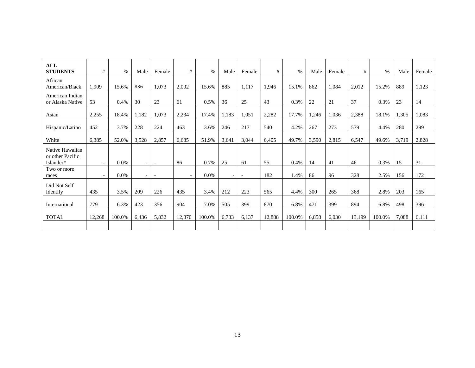| <b>ALL</b><br><b>STUDENTS</b>                    | #                        | $\%$    | Male                     | Female                   | #      | $\%$    | Male                     | Female                   | #      | $\%$   | Male  | Female | #      | $\%$   | Male  | Female |
|--------------------------------------------------|--------------------------|---------|--------------------------|--------------------------|--------|---------|--------------------------|--------------------------|--------|--------|-------|--------|--------|--------|-------|--------|
| African<br>American/Black                        | 1,909                    | 15.6%   | 836                      | 1,073                    | 2,002  | 15.6%   | 885                      | 1.117                    | 1.946  | 15.1%  | 862   | 1.084  | 2,012  | 15.2%  | 889   | 1,123  |
| American Indian<br>or Alaska Native              | 53                       | 0.4%    | 30                       | 23                       | 61     | 0.5%    | 36                       | 25                       | 43     | 0.3%   | 22    | 21     | 37     | 0.3%   | 23    | 14     |
| Asian                                            | 2,255                    | 18.4%   | 1,182                    | 1,073                    | 2,234  | 17.4%   | 1,183                    | 1,051                    | 2,282  | 17.7%  | 1,246 | 1,036  | 2,388  | 18.1%  | 1,305 | 1,083  |
| Hispanic/Latino                                  | 452                      | 3.7%    | 228                      | 224                      | 463    | 3.6%    | 246                      | 217                      | 540    | 4.2%   | 267   | 273    | 579    | 4.4%   | 280   | 299    |
| White                                            | 6,385                    | 52.0%   | 3,528                    | 2,857                    | 6,685  | 51.9%   | 3,641                    | 3,044                    | 6.405  | 49.7%  | 3,590 | 2,815  | 6,547  | 49.6%  | 3,719 | 2,828  |
| Native Hawaiian<br>or other Pacific<br>Islander* | $\overline{\phantom{0}}$ | 0.0%    | $\overline{\phantom{a}}$ | $\overline{\phantom{a}}$ | 86     | 0.7%    | 25                       | 61                       | 55     | 0.4%   | 14    | 41     | 46     | 0.3%   | 15    | 31     |
| Two or more<br>races                             |                          | $0.0\%$ | $\overline{\phantom{0}}$ | $\overline{\phantom{a}}$ |        | $0.0\%$ | $\overline{\phantom{0}}$ | $\overline{\phantom{a}}$ | 182    | 1.4%   | 86    | 96     | 328    | 2.5%   | 156   | 172    |
| Did Not Self<br>Identify                         | 435                      | 3.5%    | 209                      | 226                      | 435    | 3.4%    | 212                      | 223                      | 565    | 4.4%   | 300   | 265    | 368    | 2.8%   | 203   | 165    |
| International                                    | 779                      | 6.3%    | 423                      | 356                      | 904    | 7.0%    | 505                      | 399                      | 870    | 6.8%   | 471   | 399    | 894    | 6.8%   | 498   | 396    |
| <b>TOTAL</b>                                     | 12,268                   | 100.0%  | 6,436                    | 5,832                    | 12,870 | 100.0%  | 6,733                    | 6,137                    | 12,888 | 100.0% | 6,858 | 6,030  | 13,199 | 100.0% | 7,088 | 6,111  |
|                                                  |                          |         |                          |                          |        |         |                          |                          |        |        |       |        |        |        |       |        |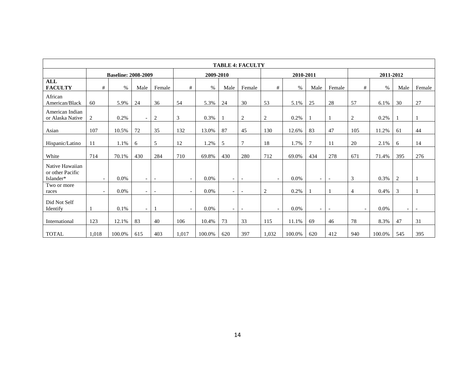| <b>TABLE 4: FACULTY</b>                          |                          |                            |                          |                          |                          |           |                          |                          |                          |           |                          |                          |                          |           |                          |                          |
|--------------------------------------------------|--------------------------|----------------------------|--------------------------|--------------------------|--------------------------|-----------|--------------------------|--------------------------|--------------------------|-----------|--------------------------|--------------------------|--------------------------|-----------|--------------------------|--------------------------|
|                                                  |                          | <b>Baseline: 2008-2009</b> |                          |                          |                          | 2009-2010 |                          |                          |                          | 2010-2011 |                          |                          |                          | 2011-2012 |                          |                          |
| <b>ALL</b><br><b>FACULTY</b>                     | #                        | $\%$                       | Male                     | Female                   | #                        | $\%$      | Male                     | Female                   | #                        | $\%$      | Male                     | Female                   | #                        | $\%$      | Male                     | Female                   |
| African<br>American/Black                        | 60                       | 5.9%                       | 24                       | 36                       | 54                       | 5.3%      | 24                       | 30                       | 53                       | 5.1%      | 25                       | 28                       | 57                       | 6.1%      | 30                       | 27                       |
| American Indian<br>or Alaska Native              | 2                        | 0.2%                       | $\overline{\phantom{a}}$ | $\overline{2}$           | $\mathfrak{Z}$           | 0.3%      |                          | 2                        | $\sqrt{2}$               | 0.2%      |                          |                          | 2                        | 0.2%      |                          |                          |
| Asian                                            | 107                      | 10.5%                      | 72                       | 35                       | 132                      | 13.0%     | 87                       | 45                       | 130                      | 12.6%     | 83                       | 47                       | 105                      | 11.2%     | 61                       | 44                       |
| Hispanic/Latino                                  | 11                       | 1.1%                       | 6                        | 5                        | 12                       | 1.2%      | 5                        | $\overline{7}$           | 18                       | 1.7%      | 7                        | 11                       | 20                       | 2.1%      | 6                        | 14                       |
| White                                            | 714                      | 70.1%                      | 430                      | 284                      | 710                      | 69.8%     | 430                      | 280                      | 712                      | 69.0%     | 434                      | 278                      | 671                      | 71.4%     | 395                      | 276                      |
| Native Hawaiian<br>or other Pacific<br>Islander* | $\overline{\phantom{a}}$ | 0.0%                       | $\overline{\phantom{a}}$ | $\blacksquare$           | $\overline{\phantom{a}}$ | $0.0\%$   | $\overline{\phantom{a}}$ | $\overline{\phantom{a}}$ | $\overline{\phantom{a}}$ | 0.0%      | $\overline{\phantom{a}}$ | $\sim$                   | 3                        | 0.3%      | $\overline{2}$           |                          |
| Two or more<br>races                             | $\overline{\phantom{a}}$ | $0.0\%$                    | $\overline{\phantom{a}}$ | $\overline{\phantom{a}}$ | $\overline{\phantom{0}}$ | $0.0\%$   | $\blacksquare$           | $\overline{\phantom{a}}$ | 2                        | 0.2%      |                          |                          | 4                        | 0.4%      | 3                        |                          |
| Did Not Self<br>Identify                         |                          | 0.1%                       | $\overline{\phantom{a}}$ | $\mathbf{1}$             | $-$                      | $0.0\%$   | $\overline{\phantom{a}}$ | $\overline{\phantom{a}}$ | $\overline{\phantom{a}}$ | $0.0\%$   | $\overline{\phantom{a}}$ | $\overline{\phantom{a}}$ | $\overline{\phantom{a}}$ | 0.0%      | $\overline{\phantom{a}}$ | $\overline{\phantom{a}}$ |
| International                                    | 123                      | 12.1%                      | 83                       | 40                       | 106                      | 10.4%     | 73                       | 33                       | 115                      | 11.1%     | 69                       | 46                       | 78                       | 8.3%      | 47                       | 31                       |
| <b>TOTAL</b>                                     | 1,018                    | 100.0%                     | 615                      | 403                      | 1,017                    | 100.0%    | 620                      | 397                      | 1,032                    | 100.0%    | 620                      | 412                      | 940                      | 100.0%    | 545                      | 395                      |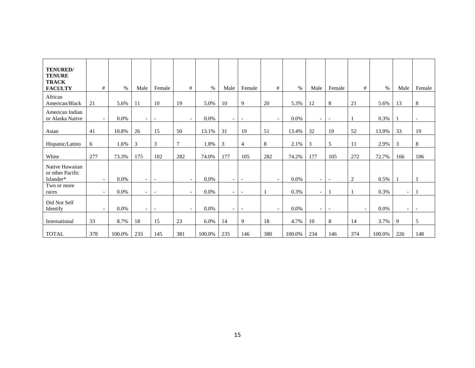| TENURED/<br><b>TENURE</b><br><b>TRACK</b><br><b>FACULTY</b> | #                        | $\%$   | Male                     | Female                   | #                        | %       | Male                     | Female                   | #                        | $\%$    | Male                     | Female                   | #                        | $\%$   | Male                     | Female                   |
|-------------------------------------------------------------|--------------------------|--------|--------------------------|--------------------------|--------------------------|---------|--------------------------|--------------------------|--------------------------|---------|--------------------------|--------------------------|--------------------------|--------|--------------------------|--------------------------|
| African<br>American/Black                                   | 21                       | 5.6%   | 11                       | 10                       | 19                       | 5.0%    | 10                       | 9                        | 20                       | 5.3%    | 12                       | 8                        | 21                       | 5.6%   | 13                       | 8                        |
| American Indian<br>or Alaska Native                         | $\overline{\phantom{a}}$ | 0.0%   | $\overline{\phantom{a}}$ | $\overline{\phantom{a}}$ | $\overline{\phantom{a}}$ | 0.0%    | $\sim$                   | $\overline{\phantom{a}}$ | $\overline{\phantom{a}}$ | $0.0\%$ | $-$                      | $\overline{\phantom{a}}$ |                          | 0.3%   |                          | $\overline{\phantom{a}}$ |
| Asian                                                       | 41                       | 10.8%  | 26                       | 15                       | 50                       | 13.1%   | 31                       | 19                       | 51                       | 13.4%   | 32                       | 19                       | 52                       | 13.9%  | 33                       | 19                       |
| Hispanic/Latino                                             | 6                        | 1.6%   | 3                        | 3                        | $7\phantom{.0}$          | 1.8%    | 3                        | 4                        | $\,8\,$                  | 2.1%    | 3                        | 5                        | 11                       | 2.9%   | 3                        | $\,8\,$                  |
| White                                                       | 277                      | 73.3%  | 175                      | 102                      | 282                      | 74.0%   | 177                      | 105                      | 282                      | 74.2%   | 177                      | 105                      | 272                      | 72.7%  | 166                      | 106                      |
| Native Hawaiian<br>or other Pacific<br>Islander*            | $\overline{\phantom{a}}$ | 0.0%   | $\overline{\phantom{a}}$ | $\overline{\phantom{a}}$ | $\overline{\phantom{0}}$ | $0.0\%$ | $\sim$                   | $\overline{\phantom{a}}$ | $\overline{\phantom{a}}$ | $0.0\%$ | $\overline{\phantom{a}}$ | $\overline{\phantom{a}}$ | $\overline{2}$           | 0.5%   |                          |                          |
| Two or more<br>races                                        | $\overline{\phantom{0}}$ | 0.0%   | $\overline{\phantom{0}}$ | $\overline{\phantom{a}}$ | $\overline{\phantom{a}}$ | $0.0\%$ | $\overline{\phantom{a}}$ | $\overline{\phantom{a}}$ |                          | 0.3%    | $\overline{\phantom{a}}$ |                          |                          | 0.3%   | $\overline{\phantom{a}}$ |                          |
| Did Not Self<br>Identify                                    | $\overline{\phantom{a}}$ | 0.0%   | $\overline{\phantom{a}}$ | $\overline{\phantom{a}}$ | $\overline{\phantom{a}}$ | $0.0\%$ | $\sim$                   | $\overline{\phantom{a}}$ | $\overline{\phantom{a}}$ | 0.0%    | $\overline{\phantom{a}}$ | $\sim$                   | $\overline{\phantom{a}}$ | 0.0%   | $\overline{\phantom{a}}$ | $\overline{\phantom{a}}$ |
| International                                               | 33                       | 8.7%   | 18                       | 15                       | 23                       | 6.0%    | 14                       | 9                        | 18                       | 4.7%    | 10                       | 8                        | 14                       | 3.7%   | 9                        | 5                        |
| <b>TOTAL</b>                                                | 378                      | 100.0% | 233                      | 145                      | 381                      | 100.0%  | 235                      | 146                      | 380                      | 100.0%  | 234                      | 146                      | 374                      | 100.0% | 226                      | 148                      |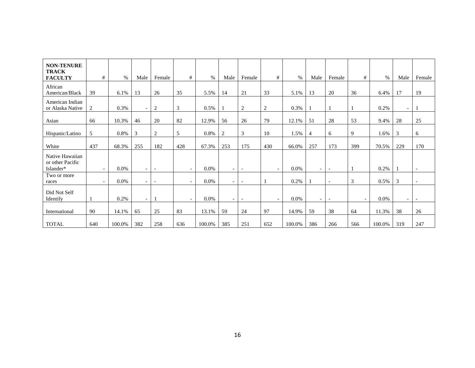| <b>NON-TENURE</b><br><b>TRACK</b><br><b>FACULTY</b> | #                        | $\%$    | Male                     | Female                   | #                        | $\%$    | Male                     | Female                   | #                        | $\%$   | Male                         | Female                   | #                        | $\%$    | Male                     | Female                   |
|-----------------------------------------------------|--------------------------|---------|--------------------------|--------------------------|--------------------------|---------|--------------------------|--------------------------|--------------------------|--------|------------------------------|--------------------------|--------------------------|---------|--------------------------|--------------------------|
| African<br>American/Black                           | 39                       | 6.1%    | 13                       | 26                       | 35                       | 5.5%    | 14                       | 21                       | 33                       | 5.1%   | 13                           | 20                       | 36                       | 6.4%    | 17                       | 19                       |
| American Indian<br>or Alaska Native                 | 2                        | 0.3%    | $\overline{\phantom{a}}$ | 2                        | 3                        | 0.5%    |                          | 2                        | 2                        | 0.3%   |                              |                          |                          | 0.2%    | $\sim$                   |                          |
| Asian                                               | 66                       | 10.3%   | 46                       | 20                       | 82                       | 12.9%   | 56                       | 26                       | 79                       | 12.1%  | 51                           | 28                       | 53                       | 9.4%    | 28                       | 25                       |
| Hispanic/Latino                                     | 5                        | 0.8%    | 3                        | $\overline{2}$           | 5                        | 0.8%    | $\overline{c}$           | 3                        | 10                       | 1.5%   | 4                            | 6                        | 9                        | 1.6%    | 3                        | 6                        |
| White                                               | 437                      | 68.3%   | 255                      | 182                      | 428                      | 67.3%   | 253                      | 175                      | 430                      | 66.0%  | 257                          | 173                      | 399                      | 70.5%   | 229                      | 170                      |
| Native Hawaiian<br>or other Pacific<br>Islander*    |                          | 0.0%    | $\overline{\phantom{a}}$ | $\overline{\phantom{a}}$ | $\overline{\phantom{a}}$ | 0.0%    | $-$                      | $\overline{\phantom{a}}$ |                          | 0.0%   | $\qquad \qquad \blacksquare$ | $\overline{\phantom{a}}$ |                          | 0.2%    |                          | $\overline{\phantom{a}}$ |
| Two or more<br>races                                | $\overline{\phantom{a}}$ | $0.0\%$ | $\overline{\phantom{0}}$ | $\overline{\phantom{a}}$ |                          | $0.0\%$ | $\overline{\phantom{a}}$ | $\overline{\phantom{a}}$ |                          | 0.2%   |                              | $\overline{a}$           | 3                        | 0.5%    | 3                        | $\overline{\phantom{a}}$ |
| Did Not Self<br>Identify                            |                          | 0.2%    | $\overline{\phantom{a}}$ |                          | $\overline{\phantom{a}}$ | $0.0\%$ | $\overline{\phantom{0}}$ | $\overline{\phantom{a}}$ | $\overline{\phantom{a}}$ | 0.0%   | $\overline{\phantom{a}}$     | $\overline{\phantom{a}}$ | $\overline{\phantom{a}}$ | $0.0\%$ | $\overline{\phantom{a}}$ | $\overline{\phantom{a}}$ |
| International                                       | 90                       | 14.1%   | 65                       | 25                       | 83                       | 13.1%   | 59                       | 24                       | 97                       | 14.9%  | 59                           | 38                       | 64                       | 11.3%   | 38                       | 26                       |
| <b>TOTAL</b>                                        | 640                      | 100.0%  | 382                      | 258                      | 636                      | 100.0%  | 385                      | 251                      | 652                      | 100.0% | 386                          | 266                      | 566                      | 100.0%  | 319                      | 247                      |